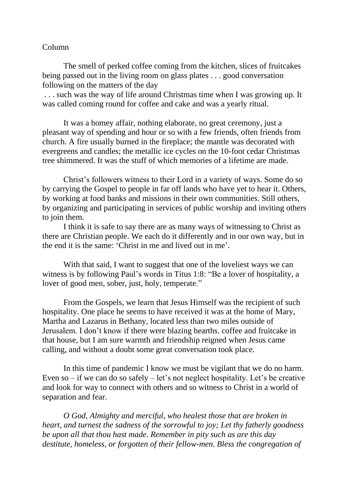## Column

The smell of perked coffee coming from the kitchen, slices of fruitcakes being passed out in the living room on glass plates . . . good conversation following on the matters of the day

. . . such was the way of life around Christmas time when I was growing up. It was called coming round for coffee and cake and was a yearly ritual.

It was a homey affair, nothing elaborate, no great ceremony, just a pleasant way of spending and hour or so with a few friends, often friends from church. A fire usually burned in the fireplace; the mantle was decorated with evergreens and candles; the metallic ice cycles on the 10-foot cedar Christmas tree shimmered. It was the stuff of which memories of a lifetime are made.

Christ's followers witness to their Lord in a variety of ways. Some do so by carrying the Gospel to people in far off lands who have yet to hear it. Others, by working at food banks and missions in their own communities. Still others, by organizing and participating in services of public worship and inviting others to join them.

I think it is safe to say there are as many ways of witnessing to Christ as there are Christian people. We each do it differently and in our own way, but in the end it is the same: 'Christ in me and lived out in me'.

With that said, I want to suggest that one of the loveliest ways we can witness is by following Paul's words in Titus 1:8: "Be a lover of hospitality, a lover of good men, sober, just, holy, temperate."

From the Gospels, we learn that Jesus Himself was the recipient of such hospitality. One place he seems to have received it was at the home of Mary, Martha and Lazarus in Bethany, located less than two miles outside of Jerusalem. I don't know if there were blazing hearths. coffee and fruitcake in that house, but I am sure warmth and friendship reigned when Jesus came calling, and without a doubt some great conversation took place.

In this time of pandemic I know we must be vigilant that we do no harm. Even so – if we can do so safely – let's not neglect hospitality. Let's be creative and look for way to connect with others and so witness to Christ in a world of separation and fear.

*O God, Almighty and merciful, who healest those that are broken in heart, and turnest the sadness of the sorrowful to joy; Let thy fatherly goodness be upon all that thou hast made. Remember in pity such as are this day destitute, homeless, or forgotten of their fellow-men. Bless the congregation of*